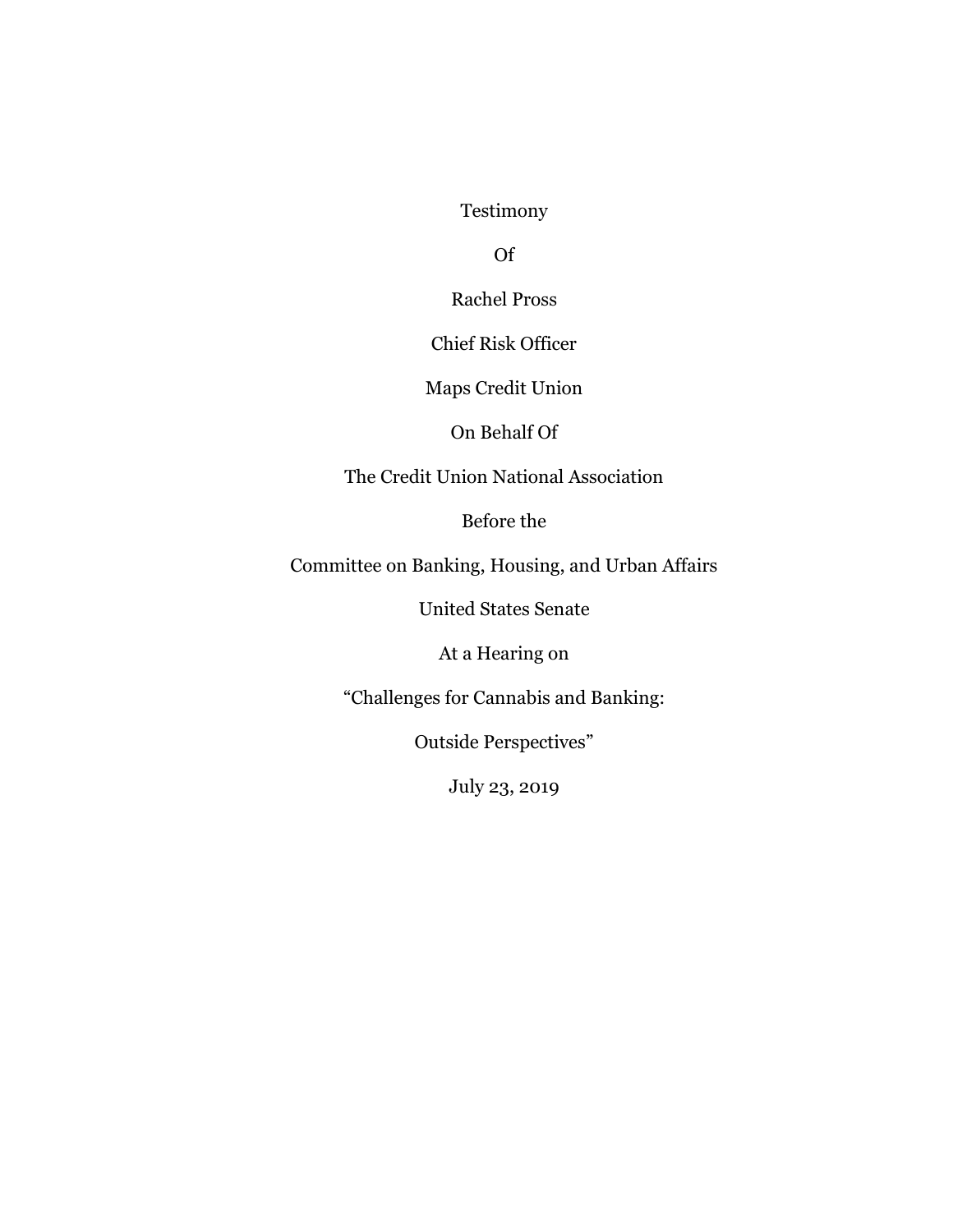Testimony

Of

Rachel Pross

Chief Risk Officer

Maps Credit Union

On Behalf Of

The Credit Union National Association

Before the

Committee on Banking, Housing, and Urban Affairs

United States Senate

At a Hearing on

"Challenges for Cannabis and Banking:

Outside Perspectives"

July 23, 2019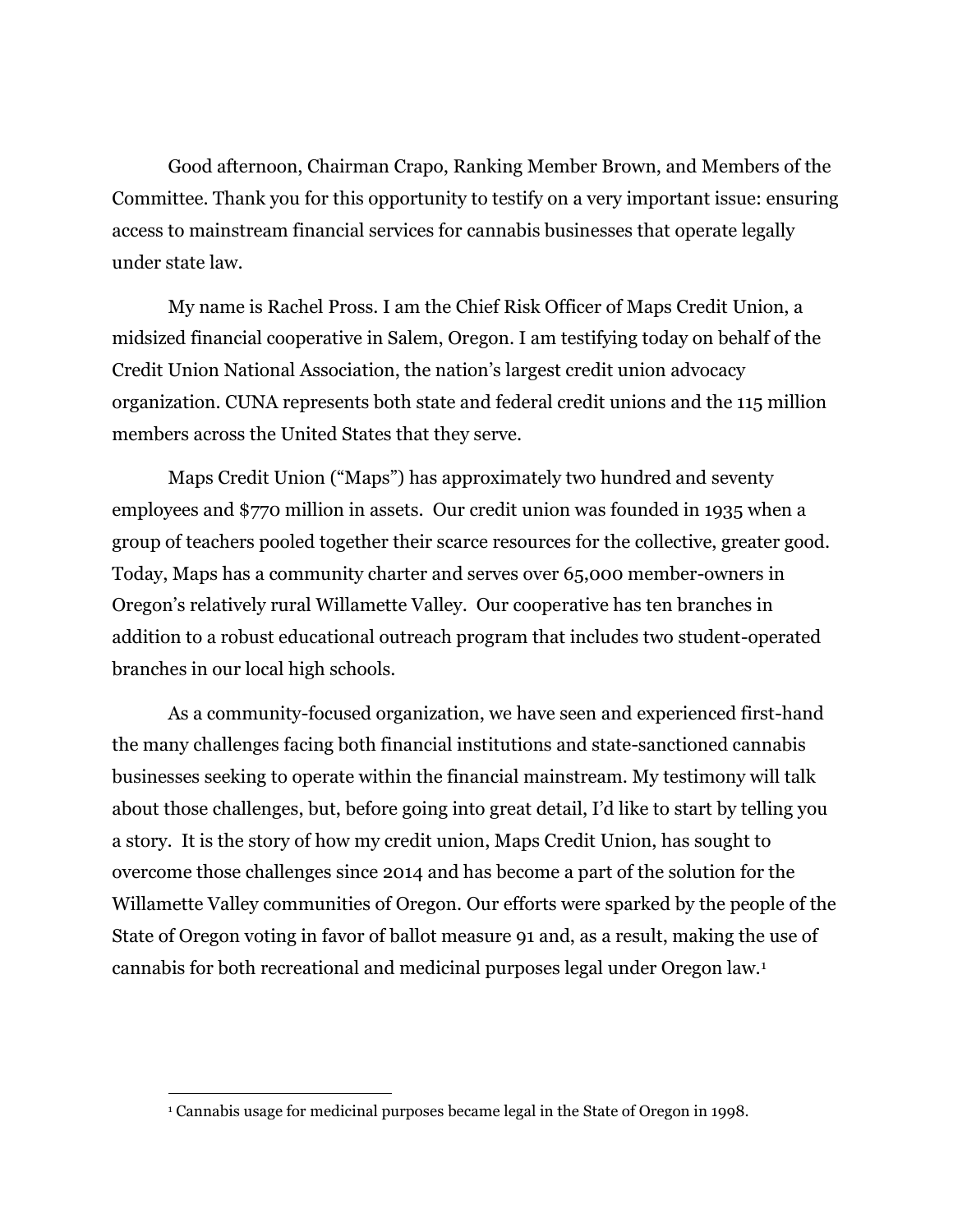Good afternoon, Chairman Crapo, Ranking Member Brown, and Members of the Committee. Thank you for this opportunity to testify on a very important issue: ensuring access to mainstream financial services for cannabis businesses that operate legally under state law.

My name is Rachel Pross. I am the Chief Risk Officer of Maps Credit Union, a midsized financial cooperative in Salem, Oregon. I am testifying today on behalf of the Credit Union National Association, the nation's largest credit union advocacy organization. CUNA represents both state and federal credit unions and the 115 million members across the United States that they serve.

Maps Credit Union ("Maps") has approximately two hundred and seventy employees and \$770 million in assets. Our credit union was founded in 1935 when a group of teachers pooled together their scarce resources for the collective, greater good. Today, Maps has a community charter and serves over 65,000 member-owners in Oregon's relatively rural Willamette Valley. Our cooperative has ten branches in addition to a robust educational outreach program that includes two student-operated branches in our local high schools.

As a community-focused organization, we have seen and experienced first-hand the many challenges facing both financial institutions and state-sanctioned cannabis businesses seeking to operate within the financial mainstream. My testimony will talk about those challenges, but, before going into great detail, I'd like to start by telling you a story. It is the story of how my credit union, Maps Credit Union, has sought to overcome those challenges since 2014 and has become a part of the solution for the Willamette Valley communities of Oregon. Our efforts were sparked by the people of the State of Oregon voting in favor of ballot measure 91 and, as a result, making the use of cannabis for both recreational and medicinal purposes legal under Oregon law.<sup>1</sup>

 $\overline{a}$ 

<sup>1</sup> Cannabis usage for medicinal purposes became legal in the State of Oregon in 1998.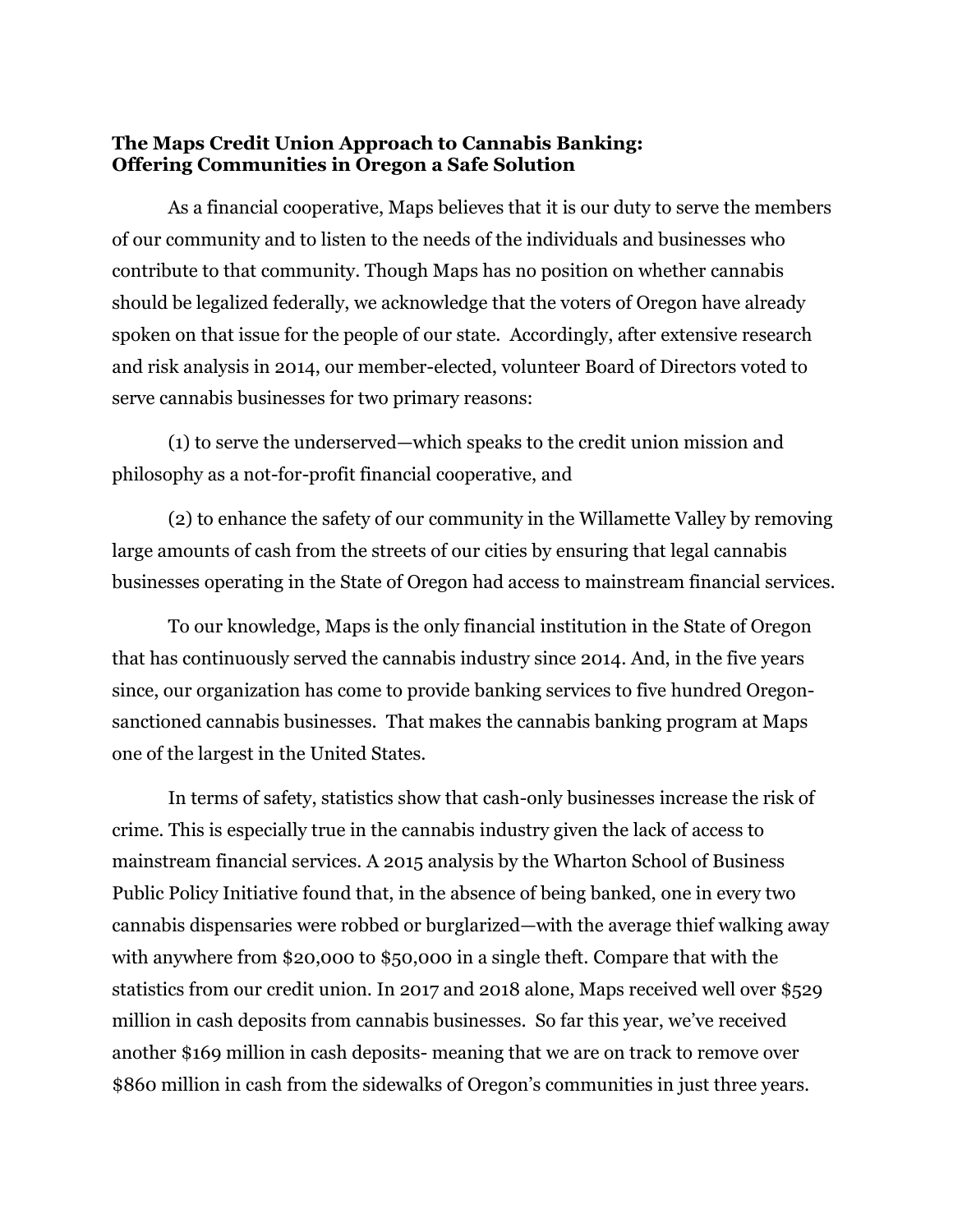## **The Maps Credit Union Approach to Cannabis Banking: Offering Communities in Oregon a Safe Solution**

As a financial cooperative, Maps believes that it is our duty to serve the members of our community and to listen to the needs of the individuals and businesses who contribute to that community. Though Maps has no position on whether cannabis should be legalized federally, we acknowledge that the voters of Oregon have already spoken on that issue for the people of our state. Accordingly, after extensive research and risk analysis in 2014, our member-elected, volunteer Board of Directors voted to serve cannabis businesses for two primary reasons:

(1) to serve the underserved—which speaks to the credit union mission and philosophy as a not-for-profit financial cooperative, and

(2) to enhance the safety of our community in the Willamette Valley by removing large amounts of cash from the streets of our cities by ensuring that legal cannabis businesses operating in the State of Oregon had access to mainstream financial services.

To our knowledge, Maps is the only financial institution in the State of Oregon that has continuously served the cannabis industry since 2014. And, in the five years since, our organization has come to provide banking services to five hundred Oregonsanctioned cannabis businesses. That makes the cannabis banking program at Maps one of the largest in the United States.

In terms of safety, statistics show that cash-only businesses increase the risk of crime. This is especially true in the cannabis industry given the lack of access to mainstream financial services. A 2015 analysis by the Wharton School of Business Public Policy Initiative found that, in the absence of being banked, one in every two cannabis dispensaries were robbed or burglarized—with the average thief walking away with anywhere from \$20,000 to \$50,000 in a single theft. Compare that with the statistics from our credit union. In 2017 and 2018 alone, Maps received well over \$529 million in cash deposits from cannabis businesses. So far this year, we've received another \$169 million in cash deposits- meaning that we are on track to remove over \$860 million in cash from the sidewalks of Oregon's communities in just three years.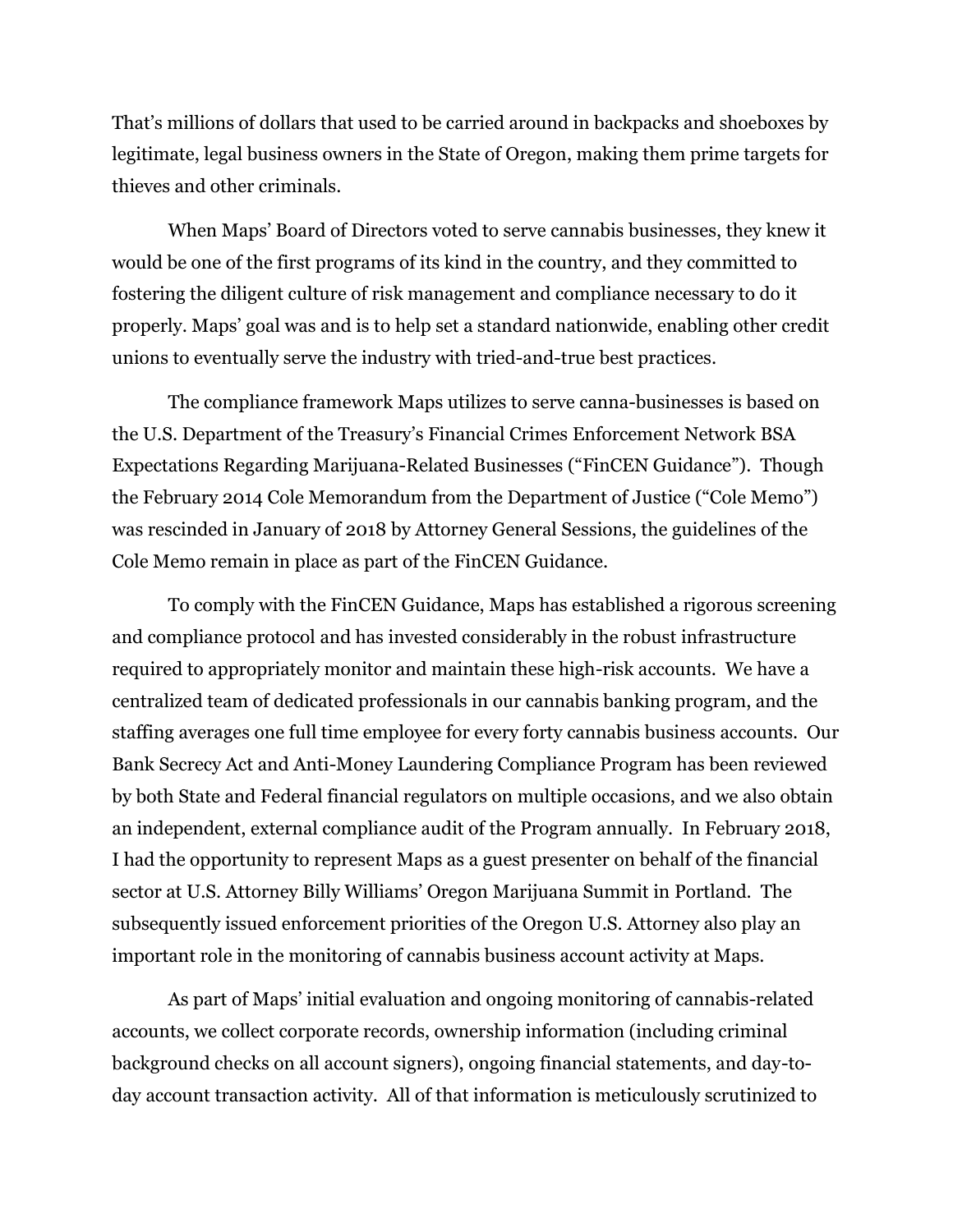That's millions of dollars that used to be carried around in backpacks and shoeboxes by legitimate, legal business owners in the State of Oregon, making them prime targets for thieves and other criminals.

When Maps' Board of Directors voted to serve cannabis businesses, they knew it would be one of the first programs of its kind in the country, and they committed to fostering the diligent culture of risk management and compliance necessary to do it properly. Maps' goal was and is to help set a standard nationwide, enabling other credit unions to eventually serve the industry with tried-and-true best practices.

The compliance framework Maps utilizes to serve canna-businesses is based on the U.S. Department of the Treasury's Financial Crimes Enforcement Network BSA Expectations Regarding Marijuana-Related Businesses ("FinCEN Guidance"). Though the February 2014 Cole Memorandum from the Department of Justice ("Cole Memo") was rescinded in January of 2018 by Attorney General Sessions, the guidelines of the Cole Memo remain in place as part of the FinCEN Guidance.

To comply with the FinCEN Guidance, Maps has established a rigorous screening and compliance protocol and has invested considerably in the robust infrastructure required to appropriately monitor and maintain these high-risk accounts. We have a centralized team of dedicated professionals in our cannabis banking program, and the staffing averages one full time employee for every forty cannabis business accounts. Our Bank Secrecy Act and Anti-Money Laundering Compliance Program has been reviewed by both State and Federal financial regulators on multiple occasions, and we also obtain an independent, external compliance audit of the Program annually. In February 2018, I had the opportunity to represent Maps as a guest presenter on behalf of the financial sector at U.S. Attorney Billy Williams' Oregon Marijuana Summit in Portland. The subsequently issued enforcement priorities of the Oregon U.S. Attorney also play an important role in the monitoring of cannabis business account activity at Maps.

As part of Maps' initial evaluation and ongoing monitoring of cannabis-related accounts, we collect corporate records, ownership information (including criminal background checks on all account signers), ongoing financial statements, and day-today account transaction activity. All of that information is meticulously scrutinized to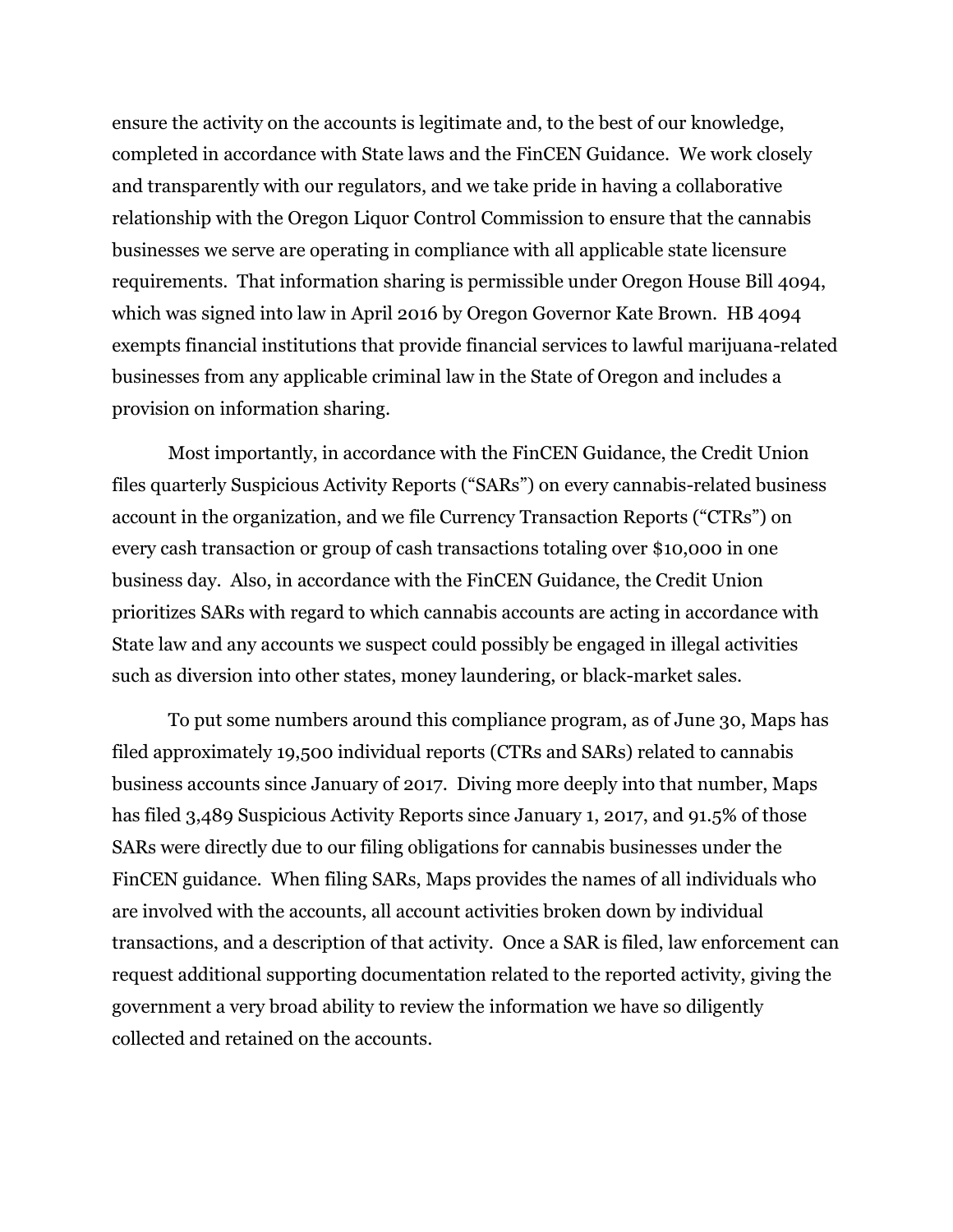ensure the activity on the accounts is legitimate and, to the best of our knowledge, completed in accordance with State laws and the FinCEN Guidance. We work closely and transparently with our regulators, and we take pride in having a collaborative relationship with the Oregon Liquor Control Commission to ensure that the cannabis businesses we serve are operating in compliance with all applicable state licensure requirements. That information sharing is permissible under Oregon House Bill 4094, which was signed into law in April 2016 by Oregon Governor Kate Brown. HB 4094 exempts financial institutions that provide financial services to lawful marijuana-related businesses from any applicable criminal law in the State of Oregon and includes a provision on information sharing.

Most importantly, in accordance with the FinCEN Guidance, the Credit Union files quarterly Suspicious Activity Reports ("SARs") on every cannabis-related business account in the organization, and we file Currency Transaction Reports ("CTRs") on every cash transaction or group of cash transactions totaling over \$10,000 in one business day. Also, in accordance with the FinCEN Guidance, the Credit Union prioritizes SARs with regard to which cannabis accounts are acting in accordance with State law and any accounts we suspect could possibly be engaged in illegal activities such as diversion into other states, money laundering, or black-market sales.

To put some numbers around this compliance program, as of June 30, Maps has filed approximately 19,500 individual reports (CTRs and SARs) related to cannabis business accounts since January of 2017. Diving more deeply into that number, Maps has filed 3,489 Suspicious Activity Reports since January 1, 2017, and 91.5% of those SARs were directly due to our filing obligations for cannabis businesses under the FinCEN guidance. When filing SARs, Maps provides the names of all individuals who are involved with the accounts, all account activities broken down by individual transactions, and a description of that activity. Once a SAR is filed, law enforcement can request additional supporting documentation related to the reported activity, giving the government a very broad ability to review the information we have so diligently collected and retained on the accounts.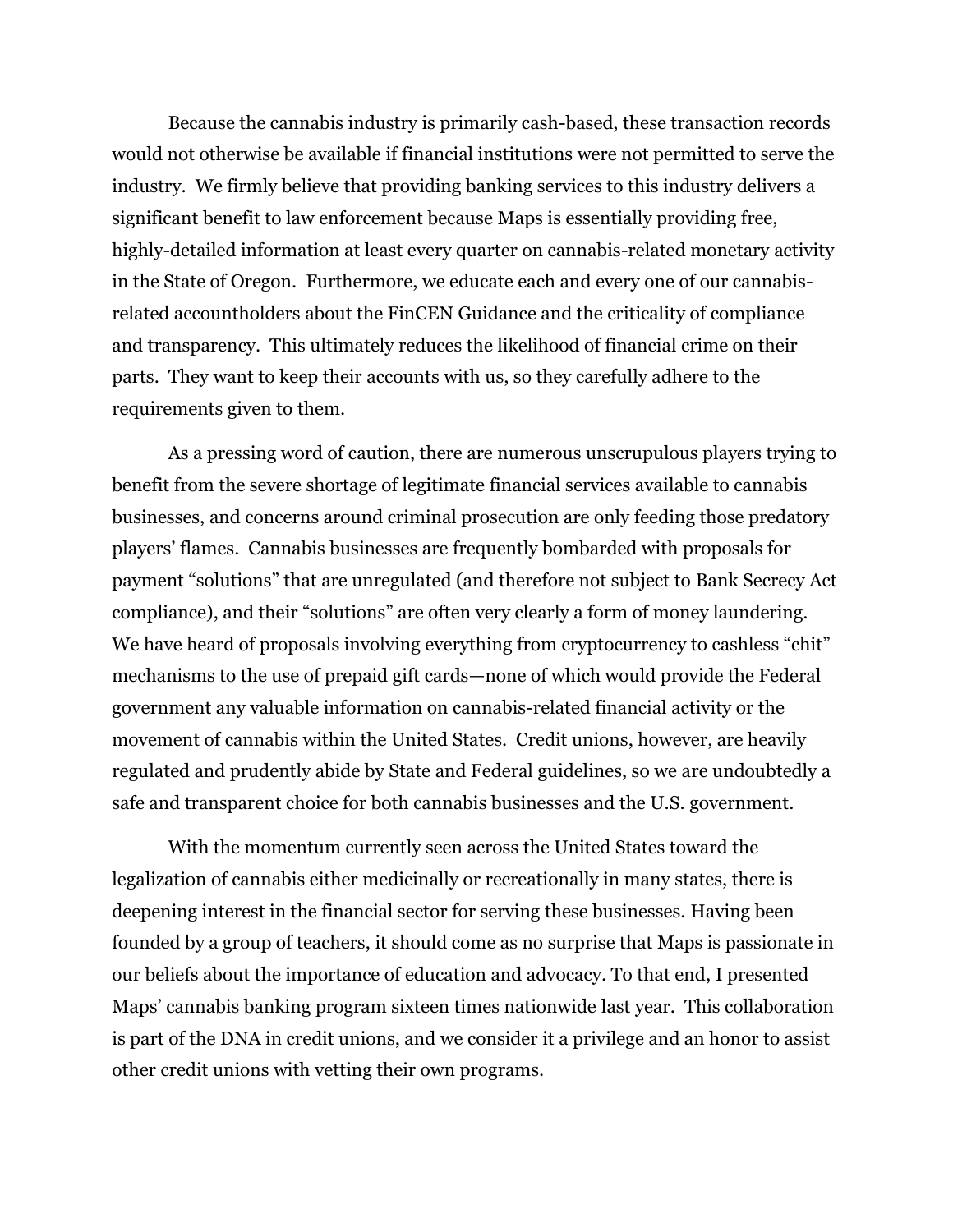Because the cannabis industry is primarily cash-based, these transaction records would not otherwise be available if financial institutions were not permitted to serve the industry. We firmly believe that providing banking services to this industry delivers a significant benefit to law enforcement because Maps is essentially providing free, highly-detailed information at least every quarter on cannabis-related monetary activity in the State of Oregon. Furthermore, we educate each and every one of our cannabisrelated accountholders about the FinCEN Guidance and the criticality of compliance and transparency. This ultimately reduces the likelihood of financial crime on their parts. They want to keep their accounts with us, so they carefully adhere to the requirements given to them.

As a pressing word of caution, there are numerous unscrupulous players trying to benefit from the severe shortage of legitimate financial services available to cannabis businesses, and concerns around criminal prosecution are only feeding those predatory players' flames. Cannabis businesses are frequently bombarded with proposals for payment "solutions" that are unregulated (and therefore not subject to Bank Secrecy Act compliance), and their "solutions" are often very clearly a form of money laundering. We have heard of proposals involving everything from cryptocurrency to cashless "chit" mechanisms to the use of prepaid gift cards—none of which would provide the Federal government any valuable information on cannabis-related financial activity or the movement of cannabis within the United States. Credit unions, however, are heavily regulated and prudently abide by State and Federal guidelines, so we are undoubtedly a safe and transparent choice for both cannabis businesses and the U.S. government.

With the momentum currently seen across the United States toward the legalization of cannabis either medicinally or recreationally in many states, there is deepening interest in the financial sector for serving these businesses. Having been founded by a group of teachers, it should come as no surprise that Maps is passionate in our beliefs about the importance of education and advocacy. To that end, I presented Maps' cannabis banking program sixteen times nationwide last year. This collaboration is part of the DNA in credit unions, and we consider it a privilege and an honor to assist other credit unions with vetting their own programs.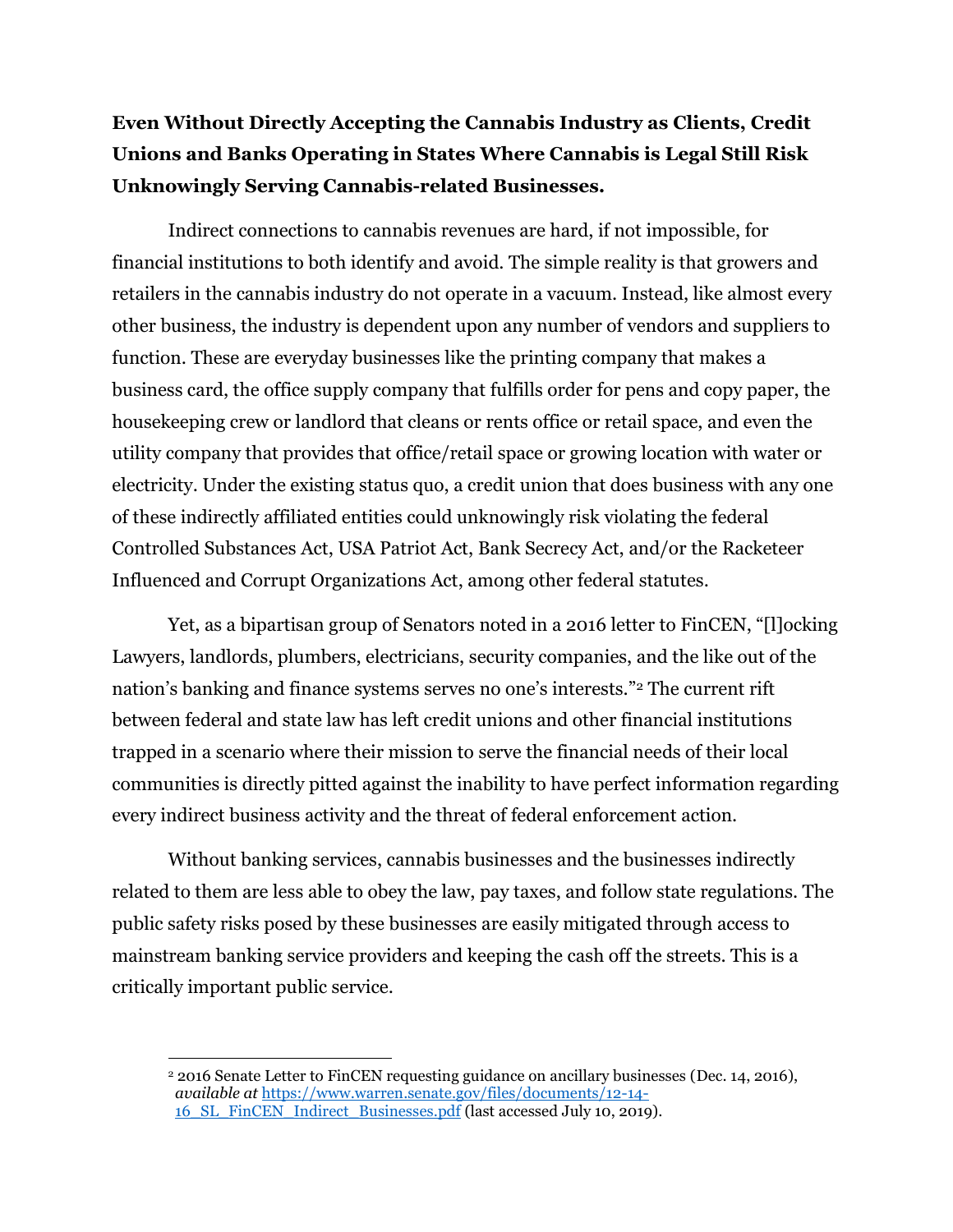## **Even Without Directly Accepting the Cannabis Industry as Clients, Credit Unions and Banks Operating in States Where Cannabis is Legal Still Risk Unknowingly Serving Cannabis-related Businesses.**

Indirect connections to cannabis revenues are hard, if not impossible, for financial institutions to both identify and avoid. The simple reality is that growers and retailers in the cannabis industry do not operate in a vacuum. Instead, like almost every other business, the industry is dependent upon any number of vendors and suppliers to function. These are everyday businesses like the printing company that makes a business card, the office supply company that fulfills order for pens and copy paper, the housekeeping crew or landlord that cleans or rents office or retail space, and even the utility company that provides that office/retail space or growing location with water or electricity. Under the existing status quo, a credit union that does business with any one of these indirectly affiliated entities could unknowingly risk violating the federal Controlled Substances Act, USA Patriot Act, Bank Secrecy Act, and/or the Racketeer Influenced and Corrupt Organizations Act, among other federal statutes.

Yet, as a bipartisan group of Senators noted in a 2016 letter to FinCEN, "[l]ocking Lawyers, landlords, plumbers, electricians, security companies, and the like out of the nation's banking and finance systems serves no one's interests."<sup>2</sup> The current rift between federal and state law has left credit unions and other financial institutions trapped in a scenario where their mission to serve the financial needs of their local communities is directly pitted against the inability to have perfect information regarding every indirect business activity and the threat of federal enforcement action.

Without banking services, cannabis businesses and the businesses indirectly related to them are less able to obey the law, pay taxes, and follow state regulations. The public safety risks posed by these businesses are easily mitigated through access to mainstream banking service providers and keeping the cash off the streets. This is a critically important public service.

 $\overline{a}$ <sup>2</sup> 2016 Senate Letter to FinCEN requesting guidance on ancillary businesses (Dec. 14, 2016), *available at* [https://www.warren.senate.gov/files/documents/12-14-](https://www.warren.senate.gov/files/documents/12-14-16_SL_FinCEN_Indirect_Businesses.pdf) [16\\_SL\\_FinCEN\\_Indirect\\_Businesses.pdf](https://www.warren.senate.gov/files/documents/12-14-16_SL_FinCEN_Indirect_Businesses.pdf) (last accessed July 10, 2019).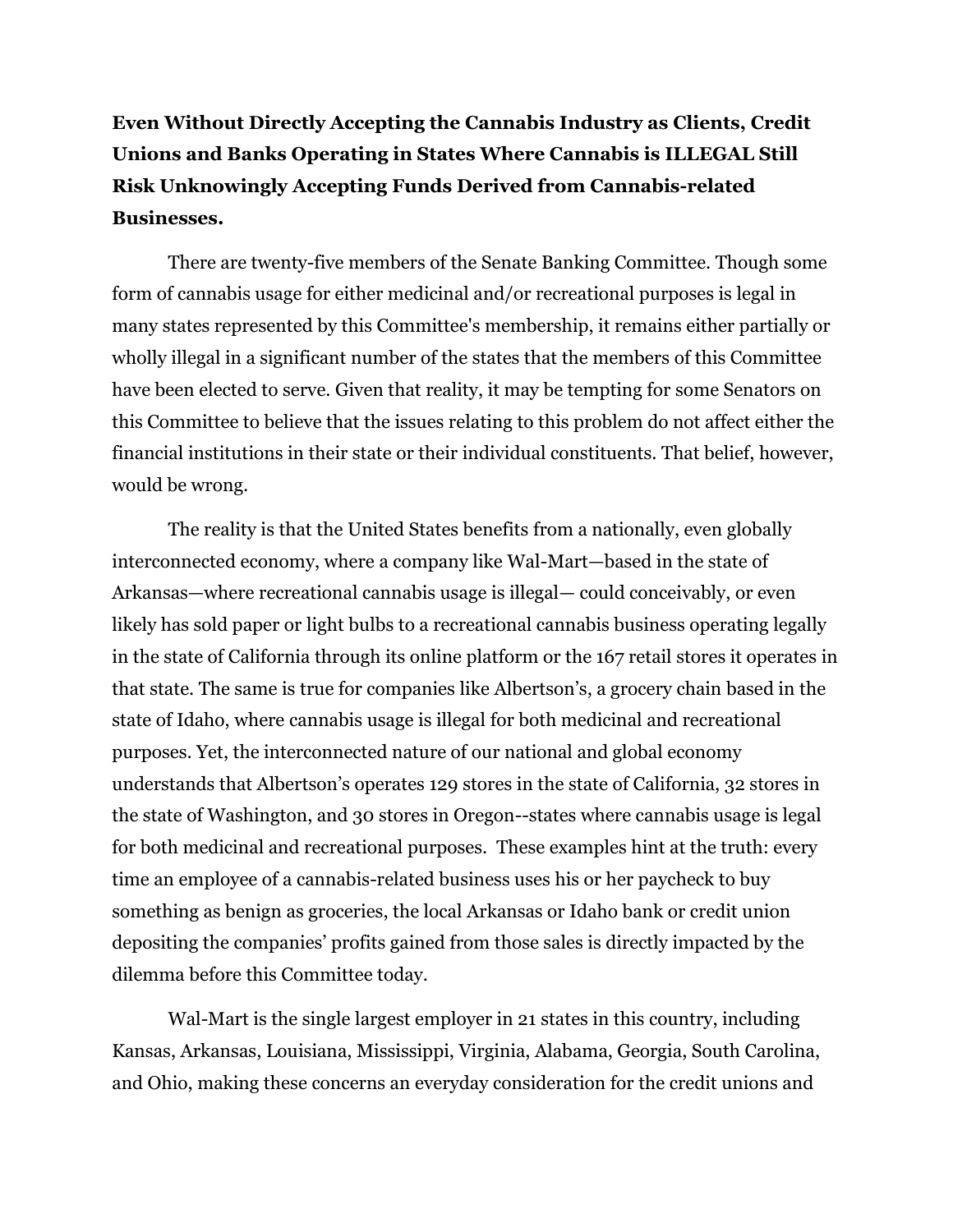**Even Without Directly Accepting the Cannabis Industry as Clients, Credit Unions and Banks Operating in States Where Cannabis is ILLEGAL Still Risk Unknowingly Accepting Funds Derived from Cannabis-related Businesses.**

There are twenty-five members of the Senate Banking Committee. Though some form of cannabis usage for either medicinal and/or recreational purposes is legal in many states represented by this Committee's membership, it remains either partially or wholly illegal in a significant number of the states that the members of this Committee have been elected to serve. Given that reality, it may be tempting for some Senators on this Committee to believe that the issues relating to this problem do not affect either the financial institutions in their state or their individual constituents. That belief, however, would be wrong.

The reality is that the United States benefits from a nationally, even globally interconnected economy, where a company like Wal-Mart—based in the state of Arkansas—where recreational cannabis usage is illegal— could conceivably, or even likely has sold paper or light bulbs to a recreational cannabis business operating legally in the state of California through its online platform or the 167 retail stores it operates in that state. The same is true for companies like Albertson's, a grocery chain based in the state of Idaho, where cannabis usage is illegal for both medicinal and recreational purposes. Yet, the interconnected nature of our national and global economy understands that Albertson's operates 129 stores in the state of California, 32 stores in the state of Washington, and 30 stores in Oregon--states where cannabis usage is legal for both medicinal and recreational purposes. These examples hint at the truth: every time an employee of a cannabis-related business uses his or her paycheck to buy something as benign as groceries, the local Arkansas or Idaho bank or credit union depositing the companies' profits gained from those sales is directly impacted by the dilemma before this Committee today.

Wal-Mart is the single largest employer in 21 states in this country, including Kansas, Arkansas, Louisiana, Mississippi, Virginia, Alabama, Georgia, South Carolina, and Ohio, making these concerns an everyday consideration for the credit unions and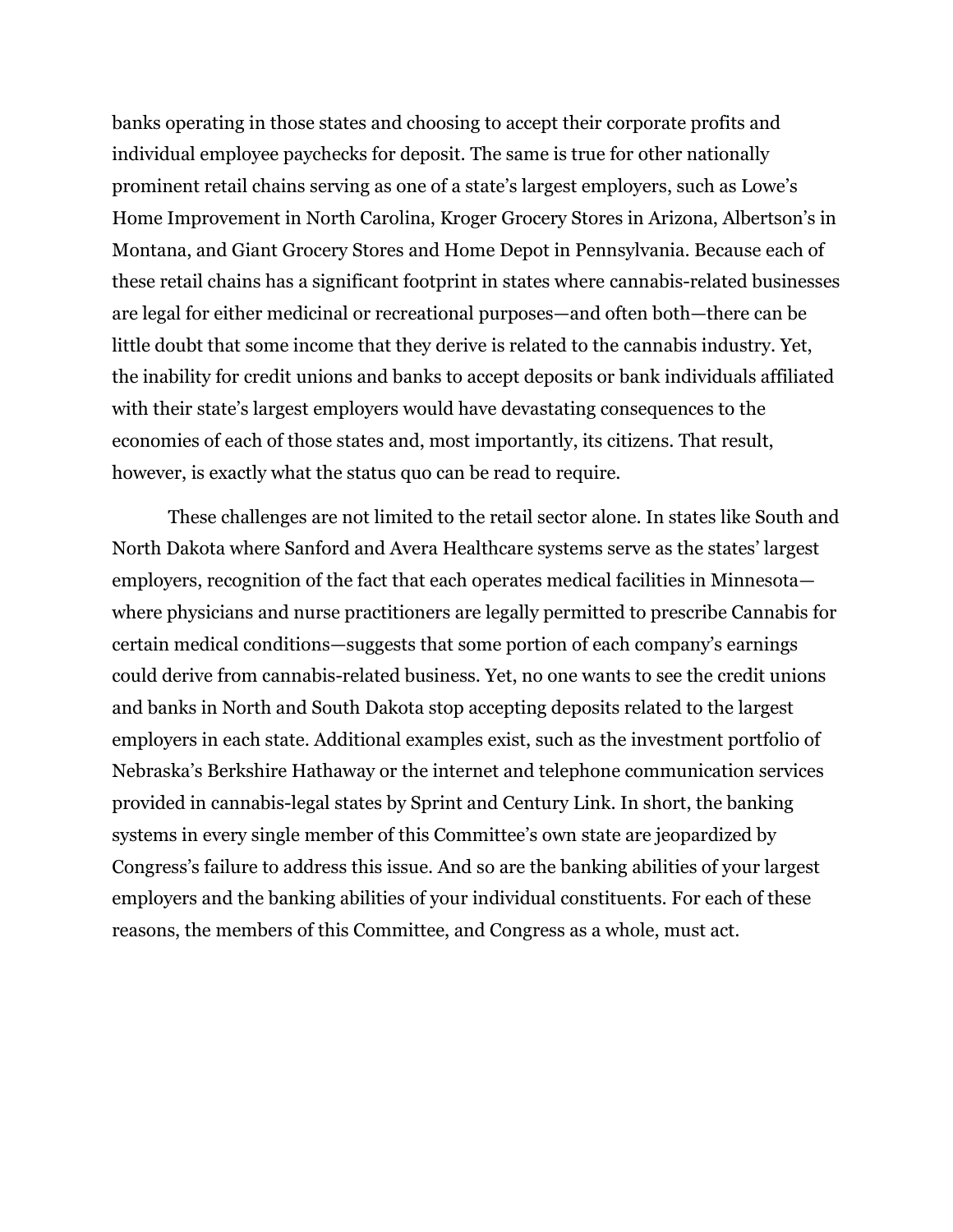banks operating in those states and choosing to accept their corporate profits and individual employee paychecks for deposit. The same is true for other nationally prominent retail chains serving as one of a state's largest employers, such as Lowe's Home Improvement in North Carolina, Kroger Grocery Stores in Arizona, Albertson's in Montana, and Giant Grocery Stores and Home Depot in Pennsylvania. Because each of these retail chains has a significant footprint in states where cannabis-related businesses are legal for either medicinal or recreational purposes—and often both—there can be little doubt that some income that they derive is related to the cannabis industry. Yet, the inability for credit unions and banks to accept deposits or bank individuals affiliated with their state's largest employers would have devastating consequences to the economies of each of those states and, most importantly, its citizens. That result, however, is exactly what the status quo can be read to require.

These challenges are not limited to the retail sector alone. In states like South and North Dakota where Sanford and Avera Healthcare systems serve as the states' largest employers, recognition of the fact that each operates medical facilities in Minnesota where physicians and nurse practitioners are legally permitted to prescribe Cannabis for certain medical conditions—suggests that some portion of each company's earnings could derive from cannabis-related business. Yet, no one wants to see the credit unions and banks in North and South Dakota stop accepting deposits related to the largest employers in each state. Additional examples exist, such as the investment portfolio of Nebraska's Berkshire Hathaway or the internet and telephone communication services provided in cannabis-legal states by Sprint and Century Link. In short, the banking systems in every single member of this Committee's own state are jeopardized by Congress's failure to address this issue. And so are the banking abilities of your largest employers and the banking abilities of your individual constituents. For each of these reasons, the members of this Committee, and Congress as a whole, must act.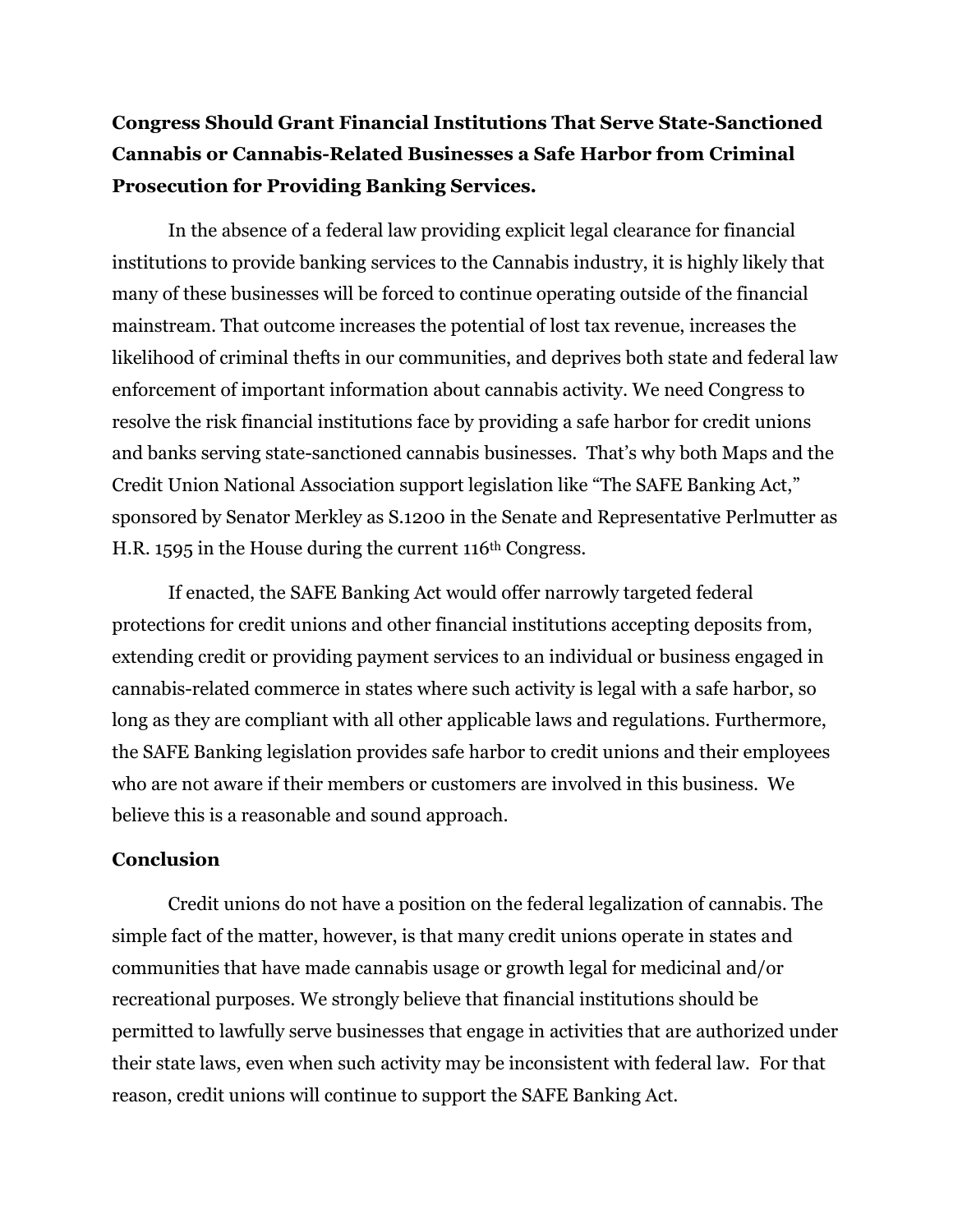## **Congress Should Grant Financial Institutions That Serve State-Sanctioned Cannabis or Cannabis-Related Businesses a Safe Harbor from Criminal Prosecution for Providing Banking Services.**

In the absence of a federal law providing explicit legal clearance for financial institutions to provide banking services to the Cannabis industry, it is highly likely that many of these businesses will be forced to continue operating outside of the financial mainstream. That outcome increases the potential of lost tax revenue, increases the likelihood of criminal thefts in our communities, and deprives both state and federal law enforcement of important information about cannabis activity. We need Congress to resolve the risk financial institutions face by providing a safe harbor for credit unions and banks serving state-sanctioned cannabis businesses. That's why both Maps and the Credit Union National Association support legislation like "The SAFE Banking Act," sponsored by Senator Merkley as S.1200 in the Senate and Representative Perlmutter as H.R. 1595 in the House during the current 116th Congress.

If enacted, the SAFE Banking Act would offer narrowly targeted federal protections for credit unions and other financial institutions accepting deposits from, extending credit or providing payment services to an individual or business engaged in cannabis-related commerce in states where such activity is legal with a safe harbor, so long as they are compliant with all other applicable laws and regulations. Furthermore, the SAFE Banking legislation provides safe harbor to credit unions and their employees who are not aware if their members or customers are involved in this business. We believe this is a reasonable and sound approach.

## **Conclusion**

Credit unions do not have a position on the federal legalization of cannabis. The simple fact of the matter, however, is that many credit unions operate in states and communities that have made cannabis usage or growth legal for medicinal and/or recreational purposes. We strongly believe that financial institutions should be permitted to lawfully serve businesses that engage in activities that are authorized under their state laws, even when such activity may be inconsistent with federal law. For that reason, credit unions will continue to support the SAFE Banking Act.